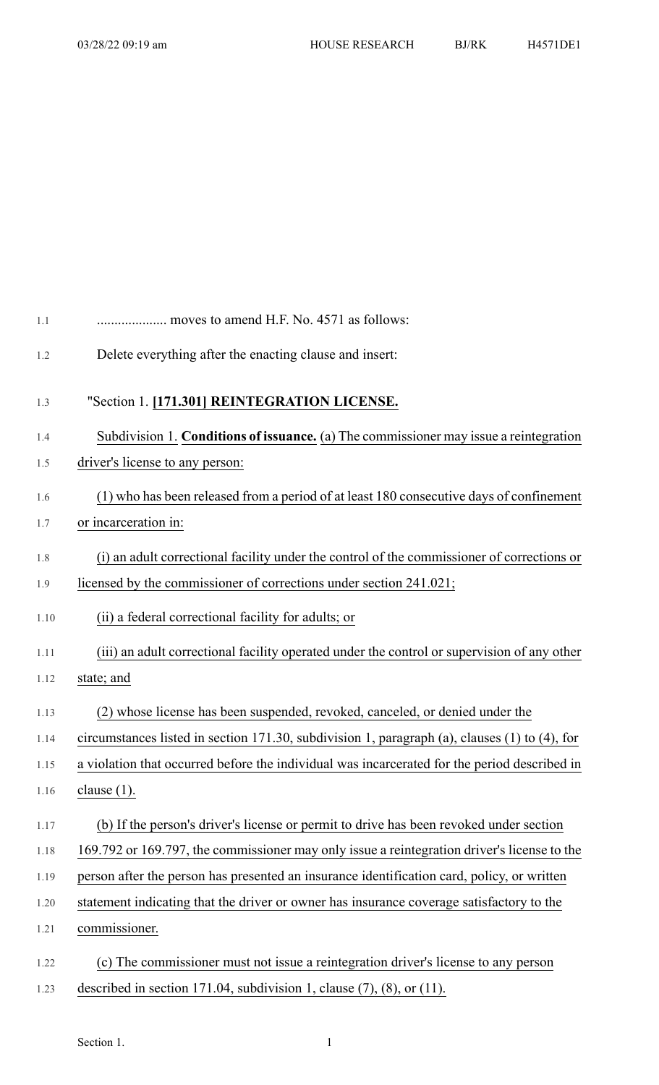| 1.1  | moves to amend H.F. No. 4571 as follows:                                                      |
|------|-----------------------------------------------------------------------------------------------|
| 1.2  | Delete everything after the enacting clause and insert:                                       |
| 1.3  | "Section 1. [171.301] REINTEGRATION LICENSE.                                                  |
| 1.4  | Subdivision 1. Conditions of issuance. (a) The commissioner may issue a reintegration         |
| 1.5  | driver's license to any person:                                                               |
| 1.6  | (1) who has been released from a period of at least 180 consecutive days of confinement       |
| 1.7  | or incarceration in:                                                                          |
| 1.8  | (i) an adult correctional facility under the control of the commissioner of corrections or    |
| 1.9  | licensed by the commissioner of corrections under section 241.021;                            |
| 1.10 | (ii) a federal correctional facility for adults; or                                           |
| 1.11 | (iii) an adult correctional facility operated under the control or supervision of any other   |
| 1.12 | state; and                                                                                    |
| 1.13 | (2) whose license has been suspended, revoked, canceled, or denied under the                  |
| 1.14 | circumstances listed in section 171.30, subdivision 1, paragraph (a), clauses (1) to (4), for |
| 1.15 | a violation that occurred before the individual was incarcerated for the period described in  |
| 1.16 | clause $(1)$ .                                                                                |
| 1.17 | (b) If the person's driver's license or permit to drive has been revoked under section        |
| 1.18 | 169.792 or 169.797, the commissioner may only issue a reintegration driver's license to the   |
| 1.19 | person after the person has presented an insurance identification card, policy, or written    |
| 1.20 | statement indicating that the driver or owner has insurance coverage satisfactory to the      |
| 1.21 | commissioner.                                                                                 |
| 1.22 | (c) The commissioner must not issue a reintegration driver's license to any person            |
| 1.23 | described in section 171.04, subdivision 1, clause $(7)$ , $(8)$ , or $(11)$ .                |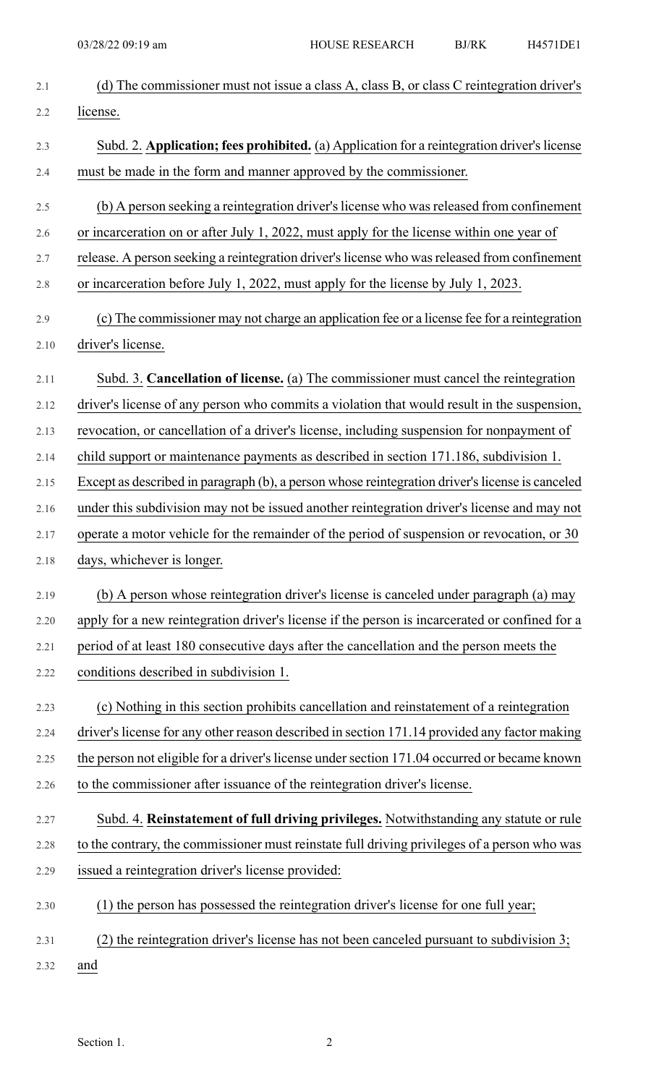| 2.1     | (d) The commissioner must not issue a class A, class B, or class C reintegration driver's       |
|---------|-------------------------------------------------------------------------------------------------|
| 2.2     | license.                                                                                        |
| 2.3     | Subd. 2. Application; fees prohibited. (a) Application for a reintegration driver's license     |
| 2.4     | must be made in the form and manner approved by the commissioner.                               |
| 2.5     | (b) A person seeking a reintegration driver's license who was released from confinement         |
| 2.6     | or incarceration on or after July 1, 2022, must apply for the license within one year of        |
| 2.7     | release. A person seeking a reintegration driver's license who was released from confinement    |
| $2.8\,$ | or incarceration before July 1, 2022, must apply for the license by July 1, 2023.               |
| 2.9     | (c) The commissioner may not charge an application fee or a license fee for a reintegration     |
| 2.10    | driver's license.                                                                               |
| 2.11    | Subd. 3. Cancellation of license. (a) The commissioner must cancel the reintegration            |
| 2.12    | driver's license of any person who commits a violation that would result in the suspension,     |
| 2.13    | revocation, or cancellation of a driver's license, including suspension for nonpayment of       |
| 2.14    | child support or maintenance payments as described in section 171.186, subdivision 1.           |
| 2.15    | Except as described in paragraph (b), a person whose reintegration driver's license is canceled |
| 2.16    | under this subdivision may not be issued another reintegration driver's license and may not     |
| 2.17    | operate a motor vehicle for the remainder of the period of suspension or revocation, or 30      |
| 2.18    | days, whichever is longer.                                                                      |
| 2.19    | (b) A person whose reintegration driver's license is canceled under paragraph (a) may           |
| 2.20    | apply for a new reintegration driver's license if the person is incarcerated or confined for a  |
| 2.21    | period of at least 180 consecutive days after the cancellation and the person meets the         |
| 2.22    | conditions described in subdivision 1.                                                          |
| 2.23    | (c) Nothing in this section prohibits cancellation and reinstatement of a reintegration         |
| 2.24    | driver's license for any other reason described in section 171.14 provided any factor making    |
| 2.25    | the person not eligible for a driver's license under section 171.04 occurred or became known    |
| 2.26    | to the commissioner after issuance of the reintegration driver's license.                       |
| 2.27    | Subd. 4. Reinstatement of full driving privileges. Notwithstanding any statute or rule          |
| 2.28    | to the contrary, the commissioner must reinstate full driving privileges of a person who was    |
| 2.29    | issued a reintegration driver's license provided:                                               |
| 2.30    | (1) the person has possessed the reintegration driver's license for one full year;              |
| 2.31    | the reintegration driver's license has not been canceled pursuant to subdivision 3;             |
| 2.32    | and                                                                                             |